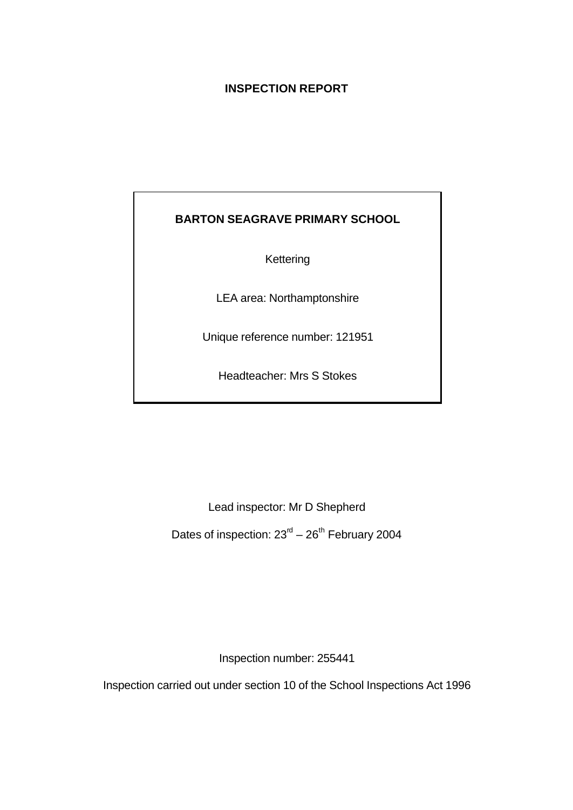# **INSPECTION REPORT**

# **BARTON SEAGRAVE PRIMARY SCHOOL**

Kettering

LEA area: Northamptonshire

Unique reference number: 121951

Headteacher: Mrs S Stokes

Lead inspector: Mr D Shepherd

Dates of inspection:  $23<sup>rd</sup> - 26<sup>th</sup>$  February 2004

Inspection number: 255441

Inspection carried out under section 10 of the School Inspections Act 1996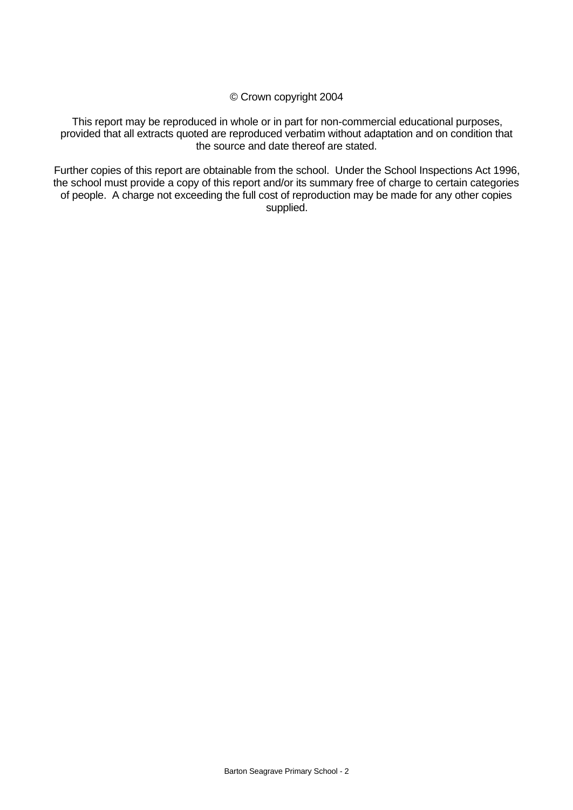© Crown copyright 2004

This report may be reproduced in whole or in part for non-commercial educational purposes, provided that all extracts quoted are reproduced verbatim without adaptation and on condition that the source and date thereof are stated.

Further copies of this report are obtainable from the school. Under the School Inspections Act 1996, the school must provide a copy of this report and/or its summary free of charge to certain categories of people. A charge not exceeding the full cost of reproduction may be made for any other copies supplied.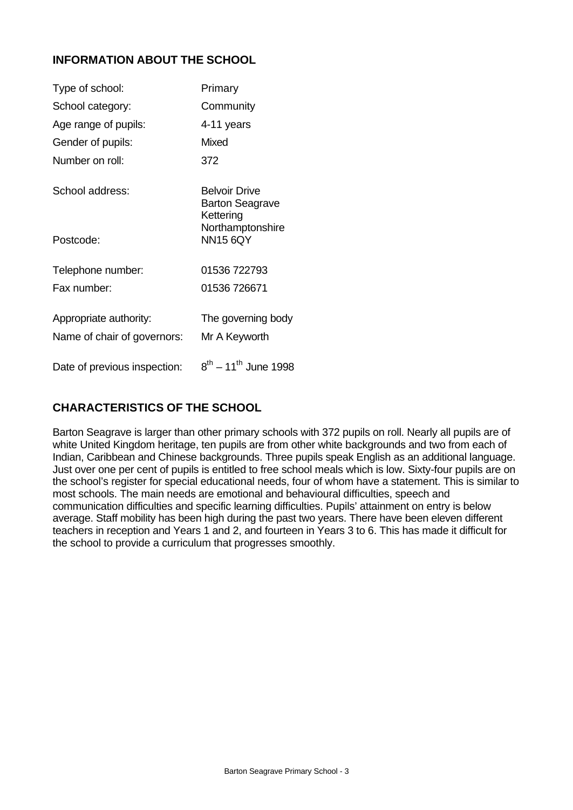# **INFORMATION ABOUT THE SCHOOL**

| Type of school:              | Primary                                              |
|------------------------------|------------------------------------------------------|
| School category:             | Community                                            |
| Age range of pupils:         | 4-11 years                                           |
| Gender of pupils:            | Mixed                                                |
| Number on roll:              | 372                                                  |
| School address:              | <b>Belvoir Drive</b><br>Barton Seagrave<br>Kettering |
| Postcode:                    | Northamptonshire<br><b>NN15 6QY</b>                  |
| Telephone number:            | 01536 722793                                         |
| Fax number:                  | 01536 726671                                         |
| Appropriate authority:       | The governing body                                   |
| Name of chair of governors:  | Mr A Keyworth                                        |
| Date of previous inspection: | $8^{th}$ – 11 <sup>th</sup> June 1998                |

# **CHARACTERISTICS OF THE SCHOOL**

Barton Seagrave is larger than other primary schools with 372 pupils on roll. Nearly all pupils are of white United Kingdom heritage, ten pupils are from other white backgrounds and two from each of Indian, Caribbean and Chinese backgrounds. Three pupils speak English as an additional language. Just over one per cent of pupils is entitled to free school meals which is low. Sixty-four pupils are on the school's register for special educational needs, four of whom have a statement. This is similar to most schools. The main needs are emotional and behavioural difficulties, speech and communication difficulties and specific learning difficulties. Pupils' attainment on entry is below average. Staff mobility has been high during the past two years. There have been eleven different teachers in reception and Years 1 and 2, and fourteen in Years 3 to 6. This has made it difficult for the school to provide a curriculum that progresses smoothly.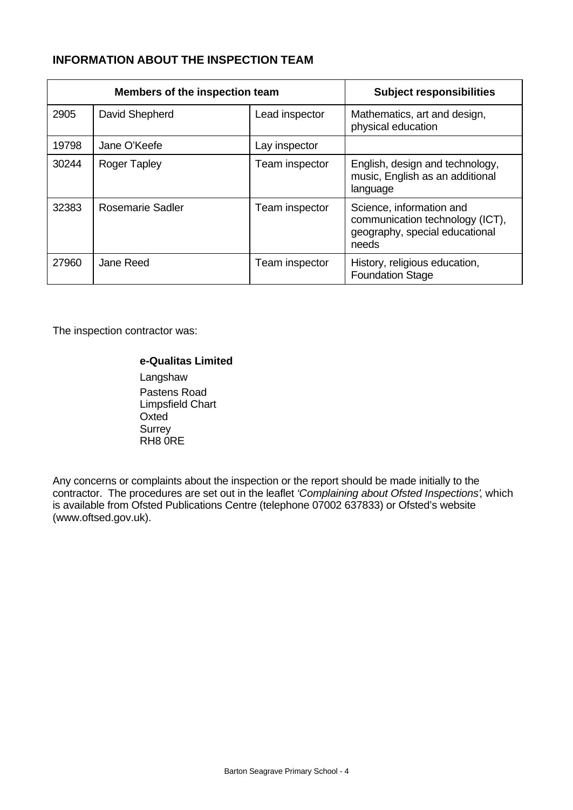# **INFORMATION ABOUT THE INSPECTION TEAM**

| Members of the inspection team |                         |                | <b>Subject responsibilities</b>                                                                        |
|--------------------------------|-------------------------|----------------|--------------------------------------------------------------------------------------------------------|
| 2905                           | David Shepherd          | Lead inspector | Mathematics, art and design,<br>physical education                                                     |
| 19798                          | Jane O'Keefe            | Lay inspector  |                                                                                                        |
| 30244                          | <b>Roger Tapley</b>     | Team inspector | English, design and technology,<br>music, English as an additional<br>language                         |
| 32383                          | <b>Rosemarie Sadler</b> | Team inspector | Science, information and<br>communication technology (ICT),<br>geography, special educational<br>needs |
| 27960                          | Jane Reed               | Team inspector | History, religious education,<br><b>Foundation Stage</b>                                               |

The inspection contractor was:

#### **e-Qualitas Limited**

**Langshaw** Pastens Road Limpsfield Chart **Oxted Surrey** RH8 0RE

Any concerns or complaints about the inspection or the report should be made initially to the contractor. The procedures are set out in the leaflet *'Complaining about Ofsted Inspections'*, which is available from Ofsted Publications Centre (telephone 07002 637833) or Ofsted's website (www.oftsed.gov.uk).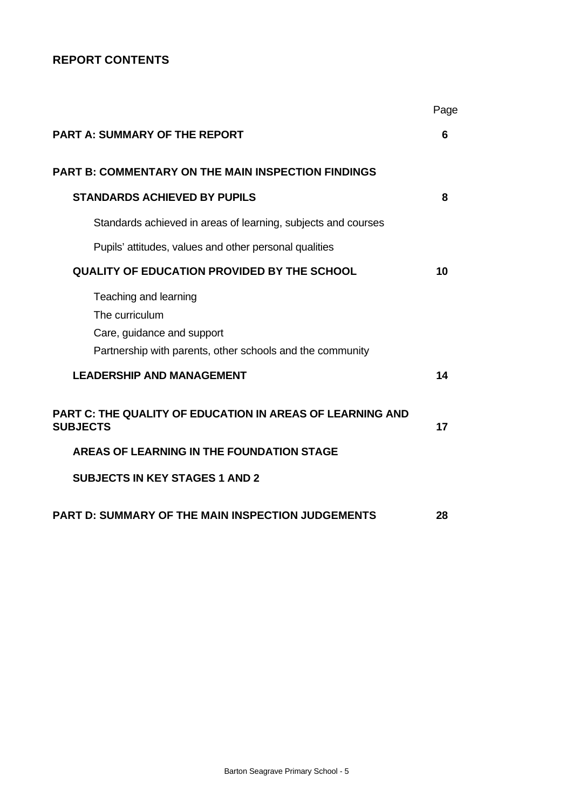# **REPORT CONTENTS**

|                                                                                     | Page |
|-------------------------------------------------------------------------------------|------|
| <b>PART A: SUMMARY OF THE REPORT</b>                                                | 6    |
| <b>PART B: COMMENTARY ON THE MAIN INSPECTION FINDINGS</b>                           |      |
| <b>STANDARDS ACHIEVED BY PUPILS</b>                                                 | 8    |
| Standards achieved in areas of learning, subjects and courses                       |      |
| Pupils' attitudes, values and other personal qualities                              |      |
| <b>QUALITY OF EDUCATION PROVIDED BY THE SCHOOL</b>                                  | 10   |
| Teaching and learning<br>The curriculum<br>Care, guidance and support               |      |
| Partnership with parents, other schools and the community                           |      |
| <b>LEADERSHIP AND MANAGEMENT</b>                                                    | 14   |
| <b>PART C: THE QUALITY OF EDUCATION IN AREAS OF LEARNING AND</b><br><b>SUBJECTS</b> | 17   |
| AREAS OF LEARNING IN THE FOUNDATION STAGE                                           |      |
| <b>SUBJECTS IN KEY STAGES 1 AND 2</b>                                               |      |
| <b>PART D: SUMMARY OF THE MAIN INSPECTION JUDGEMENTS</b>                            | 28   |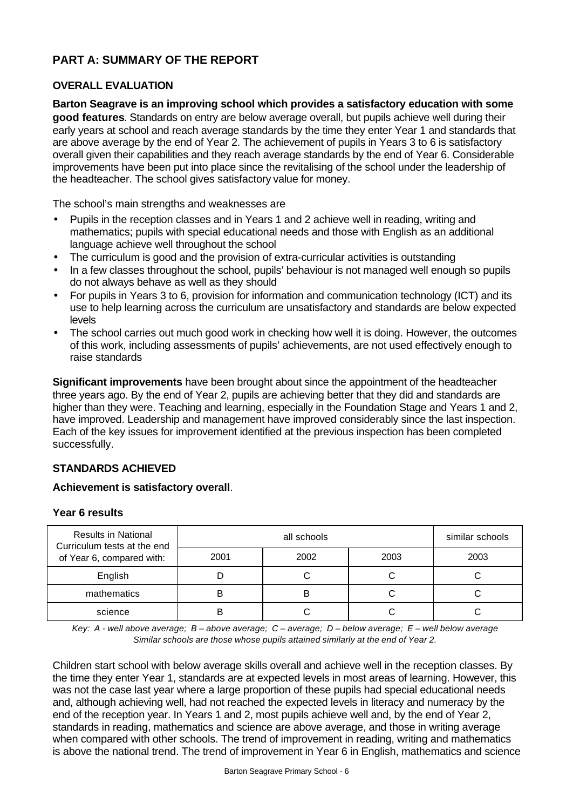# **PART A: SUMMARY OF THE REPORT**

## **OVERALL EVALUATION**

**Barton Seagrave is an improving school which provides a satisfactory education with some good features**. Standards on entry are below average overall, but pupils achieve well during their early years at school and reach average standards by the time they enter Year 1 and standards that are above average by the end of Year 2. The achievement of pupils in Years 3 to 6 is satisfactory overall given their capabilities and they reach average standards by the end of Year 6. Considerable improvements have been put into place since the revitalising of the school under the leadership of the headteacher. The school gives satisfactory value for money.

The school's main strengths and weaknesses are

- Pupils in the reception classes and in Years 1 and 2 achieve well in reading, writing and mathematics; pupils with special educational needs and those with English as an additional language achieve well throughout the school
- The curriculum is good and the provision of extra-curricular activities is outstanding
- In a few classes throughout the school, pupils' behaviour is not managed well enough so pupils do not always behave as well as they should
- For pupils in Years 3 to 6, provision for information and communication technology (ICT) and its use to help learning across the curriculum are unsatisfactory and standards are below expected levels
- The school carries out much good work in checking how well it is doing. However, the outcomes of this work, including assessments of pupils' achievements, are not used effectively enough to raise standards

**Significant improvements** have been brought about since the appointment of the headteacher three years ago. By the end of Year 2, pupils are achieving better that they did and standards are higher than they were. Teaching and learning, especially in the Foundation Stage and Years 1 and 2, have improved. Leadership and management have improved considerably since the last inspection. Each of the key issues for improvement identified at the previous inspection has been completed successfully.

# **STANDARDS ACHIEVED**

#### **Achievement is satisfactory overall**.

#### **Year 6 results**

| <b>Results in National</b><br>Curriculum tests at the end |      | similar schools |      |      |
|-----------------------------------------------------------|------|-----------------|------|------|
| of Year 6, compared with:                                 | 2001 | 2002            | 2003 | 2003 |
| English                                                   |      |                 |      |      |
| mathematics                                               |      | В               |      |      |
| science                                                   |      |                 |      |      |

*Key: A - well above average; B – above average; C – average; D – below average; E – well below average Similar schools are those whose pupils attained similarly at the end of Year 2.*

Children start school with below average skills overall and achieve well in the reception classes. By the time they enter Year 1, standards are at expected levels in most areas of learning. However, this was not the case last year where a large proportion of these pupils had special educational needs and, although achieving well, had not reached the expected levels in literacy and numeracy by the end of the reception year. In Years 1 and 2, most pupils achieve well and, by the end of Year 2, standards in reading, mathematics and science are above average, and those in writing average when compared with other schools. The trend of improvement in reading, writing and mathematics is above the national trend. The trend of improvement in Year 6 in English, mathematics and science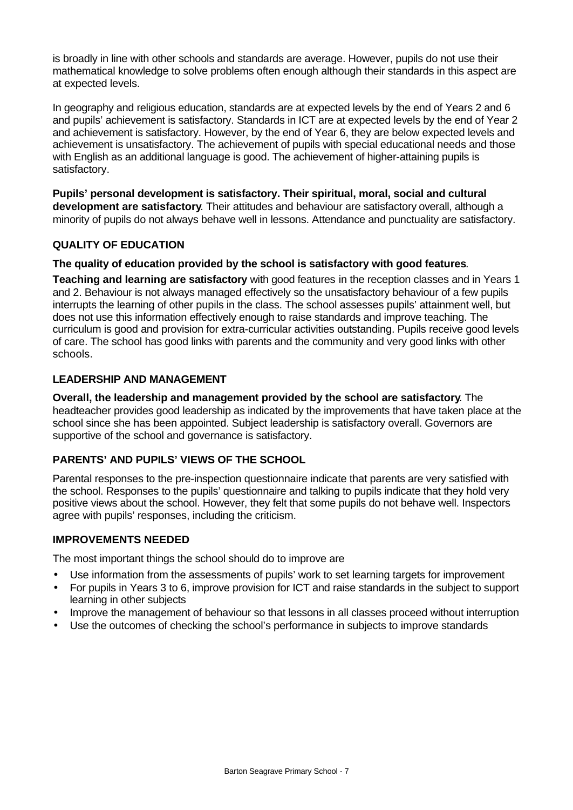is broadly in line with other schools and standards are average. However, pupils do not use their mathematical knowledge to solve problems often enough although their standards in this aspect are at expected levels.

In geography and religious education, standards are at expected levels by the end of Years 2 and 6 and pupils' achievement is satisfactory. Standards in ICT are at expected levels by the end of Year 2 and achievement is satisfactory. However, by the end of Year 6, they are below expected levels and achievement is unsatisfactory. The achievement of pupils with special educational needs and those with English as an additional language is good. The achievement of higher-attaining pupils is satisfactory.

**Pupils' personal development is satisfactory. Their spiritual, moral, social and cultural development are satisfactory**. Their attitudes and behaviour are satisfactory overall, although a minority of pupils do not always behave well in lessons. Attendance and punctuality are satisfactory.

# **QUALITY OF EDUCATION**

### **The quality of education provided by the school is satisfactory with good features**.

**Teaching and learning are satisfactory** with good features in the reception classes and in Years 1 and 2. Behaviour is not always managed effectively so the unsatisfactory behaviour of a few pupils interrupts the learning of other pupils in the class. The school assesses pupils' attainment well, but does not use this information effectively enough to raise standards and improve teaching. The curriculum is good and provision for extra-curricular activities outstanding. Pupils receive good levels of care. The school has good links with parents and the community and very good links with other schools.

#### **LEADERSHIP AND MANAGEMENT**

**Overall, the leadership and management provided by the school are satisfactory**. The headteacher provides good leadership as indicated by the improvements that have taken place at the school since she has been appointed. Subject leadership is satisfactory overall. Governors are supportive of the school and governance is satisfactory.

#### **PARENTS' AND PUPILS' VIEWS OF THE SCHOOL**

Parental responses to the pre-inspection questionnaire indicate that parents are very satisfied with the school. Responses to the pupils' questionnaire and talking to pupils indicate that they hold very positive views about the school. However, they felt that some pupils do not behave well. Inspectors agree with pupils' responses, including the criticism.

#### **IMPROVEMENTS NEEDED**

The most important things the school should do to improve are

- Use information from the assessments of pupils' work to set learning targets for improvement
- For pupils in Years 3 to 6, improve provision for ICT and raise standards in the subject to support learning in other subjects
- Improve the management of behaviour so that lessons in all classes proceed without interruption
- Use the outcomes of checking the school's performance in subjects to improve standards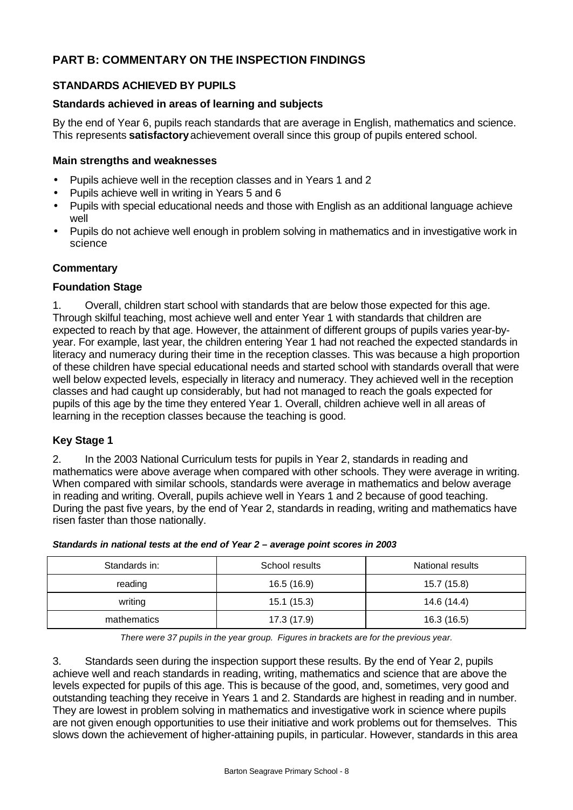# **PART B: COMMENTARY ON THE INSPECTION FINDINGS**

# **STANDARDS ACHIEVED BY PUPILS**

### **Standards achieved in areas of learning and subjects**

By the end of Year 6, pupils reach standards that are average in English, mathematics and science. This represents **satisfactory** achievement overall since this group of pupils entered school.

### **Main strengths and weaknesses**

- Pupils achieve well in the reception classes and in Years 1 and 2
- Pupils achieve well in writing in Years 5 and 6
- Pupils with special educational needs and those with English as an additional language achieve well
- Pupils do not achieve well enough in problem solving in mathematics and in investigative work in science

### **Commentary**

#### **Foundation Stage**

1. Overall, children start school with standards that are below those expected for this age. Through skilful teaching, most achieve well and enter Year 1 with standards that children are expected to reach by that age. However, the attainment of different groups of pupils varies year-byyear. For example, last year, the children entering Year 1 had not reached the expected standards in literacy and numeracy during their time in the reception classes. This was because a high proportion of these children have special educational needs and started school with standards overall that were well below expected levels, especially in literacy and numeracy. They achieved well in the reception classes and had caught up considerably, but had not managed to reach the goals expected for pupils of this age by the time they entered Year 1. Overall, children achieve well in all areas of learning in the reception classes because the teaching is good.

#### **Key Stage 1**

2. In the 2003 National Curriculum tests for pupils in Year 2, standards in reading and mathematics were above average when compared with other schools. They were average in writing. When compared with similar schools, standards were average in mathematics and below average in reading and writing. Overall, pupils achieve well in Years 1 and 2 because of good teaching. During the past five years, by the end of Year 2, standards in reading, writing and mathematics have risen faster than those nationally.

| Standards in: | School results | National results |
|---------------|----------------|------------------|
| reading       | 16.5 (16.9)    | 15.7 (15.8)      |
| writing       | 15.1(15.3)     | 14.6 (14.4)      |
| mathematics   | 17.3 (17.9)    | 16.3 (16.5)      |

*Standards in national tests at the end of Year 2 – average point scores in 2003*

*There were 37 pupils in the year group. Figures in brackets are for the previous year.*

3. Standards seen during the inspection support these results. By the end of Year 2, pupils achieve well and reach standards in reading, writing, mathematics and science that are above the levels expected for pupils of this age. This is because of the good, and, sometimes, very good and outstanding teaching they receive in Years 1 and 2. Standards are highest in reading and in number. They are lowest in problem solving in mathematics and investigative work in science where pupils are not given enough opportunities to use their initiative and work problems out for themselves. This slows down the achievement of higher-attaining pupils, in particular. However, standards in this area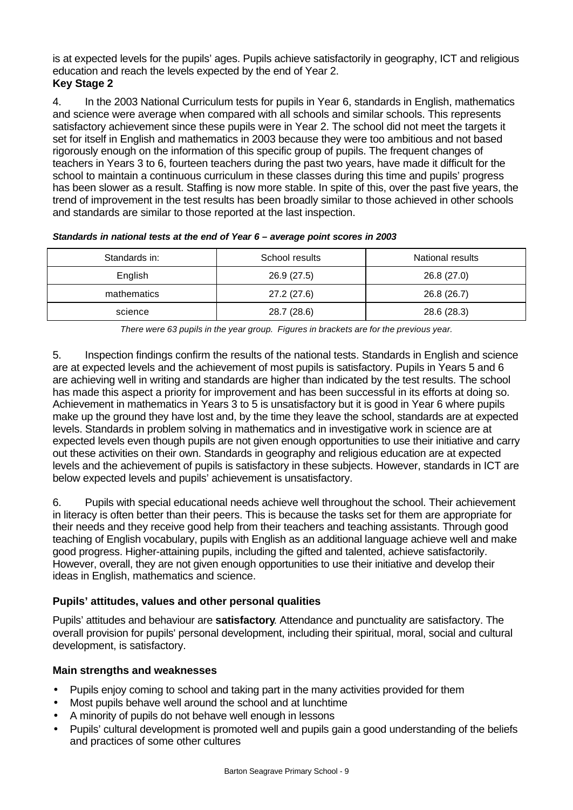is at expected levels for the pupils' ages. Pupils achieve satisfactorily in geography, ICT and religious education and reach the levels expected by the end of Year 2. **Key Stage 2**

4. In the 2003 National Curriculum tests for pupils in Year 6, standards in English, mathematics and science were average when compared with all schools and similar schools. This represents satisfactory achievement since these pupils were in Year 2. The school did not meet the targets it set for itself in English and mathematics in 2003 because they were too ambitious and not based rigorously enough on the information of this specific group of pupils. The frequent changes of teachers in Years 3 to 6, fourteen teachers during the past two years, have made it difficult for the school to maintain a continuous curriculum in these classes during this time and pupils' progress has been slower as a result. Staffing is now more stable. In spite of this, over the past five years, the trend of improvement in the test results has been broadly similar to those achieved in other schools and standards are similar to those reported at the last inspection.

| Standards in: | School results | National results |
|---------------|----------------|------------------|
| English       | 26.9 (27.5)    | 26.8 (27.0)      |
| mathematics   | 27.2 (27.6)    | 26.8 (26.7)      |
| science       | 28.7 (28.6)    | 28.6 (28.3)      |

*Standards in national tests at the end of Year 6 – average point scores in 2003*

*There were 63 pupils in the year group. Figures in brackets are for the previous year.*

5. Inspection findings confirm the results of the national tests. Standards in English and science are at expected levels and the achievement of most pupils is satisfactory. Pupils in Years 5 and 6 are achieving well in writing and standards are higher than indicated by the test results. The school has made this aspect a priority for improvement and has been successful in its efforts at doing so. Achievement in mathematics in Years 3 to 5 is unsatisfactory but it is good in Year 6 where pupils make up the ground they have lost and, by the time they leave the school, standards are at expected levels. Standards in problem solving in mathematics and in investigative work in science are at expected levels even though pupils are not given enough opportunities to use their initiative and carry out these activities on their own. Standards in geography and religious education are at expected levels and the achievement of pupils is satisfactory in these subjects. However, standards in ICT are below expected levels and pupils' achievement is unsatisfactory.

6. Pupils with special educational needs achieve well throughout the school. Their achievement in literacy is often better than their peers. This is because the tasks set for them are appropriate for their needs and they receive good help from their teachers and teaching assistants. Through good teaching of English vocabulary, pupils with English as an additional language achieve well and make good progress. Higher-attaining pupils, including the gifted and talented, achieve satisfactorily. However, overall, they are not given enough opportunities to use their initiative and develop their ideas in English, mathematics and science.

# **Pupils' attitudes, values and other personal qualities**

Pupils' attitudes and behaviour are **satisfactory**. Attendance and punctuality are satisfactory. The overall provision for pupils' personal development, including their spiritual, moral, social and cultural development, is satisfactory.

#### **Main strengths and weaknesses**

- Pupils enjoy coming to school and taking part in the many activities provided for them
- Most pupils behave well around the school and at lunchtime
- A minority of pupils do not behave well enough in lessons
- Pupils' cultural development is promoted well and pupils gain a good understanding of the beliefs and practices of some other cultures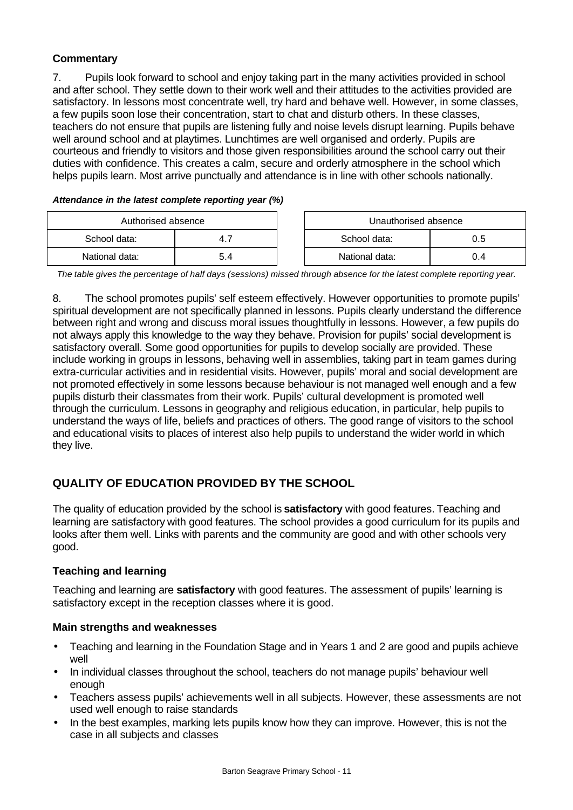# **Commentary**

7. Pupils look forward to school and enjoy taking part in the many activities provided in school and after school. They settle down to their work well and their attitudes to the activities provided are satisfactory. In lessons most concentrate well, try hard and behave well. However, in some classes, a few pupils soon lose their concentration, start to chat and disturb others. In these classes, teachers do not ensure that pupils are listening fully and noise levels disrupt learning. Pupils behave well around school and at playtimes. Lunchtimes are well organised and orderly. Pupils are courteous and friendly to visitors and those given responsibilities around the school carry out their duties with confidence. This creates a calm, secure and orderly atmosphere in the school which helps pupils learn. Most arrive punctually and attendance is in line with other schools nationally.

*Attendance in the latest complete reporting year (%)*

| Authorised absence |     |  | Unauthorised absence |     |
|--------------------|-----|--|----------------------|-----|
| School data:       | 4.  |  | School data:         | 0.5 |
| National data:     | 5.4 |  | National data:       | J.4 |

*The table gives the percentage of half days (sessions) missed through absence for the latest complete reporting year.*

8. The school promotes pupils' self esteem effectively. However opportunities to promote pupils' spiritual development are not specifically planned in lessons. Pupils clearly understand the difference between right and wrong and discuss moral issues thoughtfully in lessons. However, a few pupils do not always apply this knowledge to the way they behave. Provision for pupils' social development is satisfactory overall. Some good opportunities for pupils to develop socially are provided. These include working in groups in lessons, behaving well in assemblies, taking part in team games during extra-curricular activities and in residential visits. However, pupils' moral and social development are not promoted effectively in some lessons because behaviour is not managed well enough and a few pupils disturb their classmates from their work. Pupils' cultural development is promoted well through the curriculum. Lessons in geography and religious education, in particular, help pupils to understand the ways of life, beliefs and practices of others. The good range of visitors to the school and educational visits to places of interest also help pupils to understand the wider world in which they live.

# **QUALITY OF EDUCATION PROVIDED BY THE SCHOOL**

The quality of education provided by the school is **satisfactory** with good features. Teaching and learning are satisfactory with good features. The school provides a good curriculum for its pupils and looks after them well. Links with parents and the community are good and with other schools very good.

#### **Teaching and learning**

Teaching and learning are **satisfactory** with good features. The assessment of pupils' learning is satisfactory except in the reception classes where it is good.

#### **Main strengths and weaknesses**

- Teaching and learning in the Foundation Stage and in Years 1 and 2 are good and pupils achieve well
- In individual classes throughout the school, teachers do not manage pupils' behaviour well enough
- Teachers assess pupils' achievements well in all subjects. However, these assessments are not used well enough to raise standards
- In the best examples, marking lets pupils know how they can improve. However, this is not the case in all subjects and classes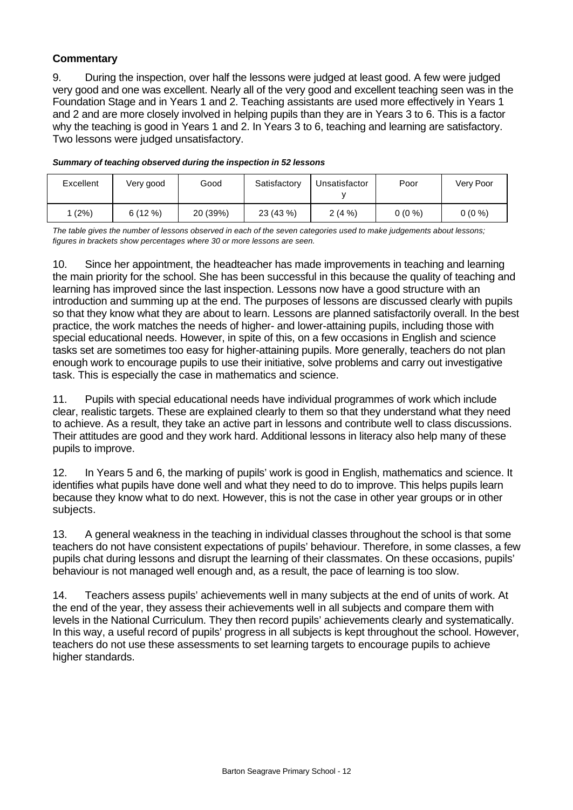# **Commentary**

9. During the inspection, over half the lessons were judged at least good. A few were judged very good and one was excellent. Nearly all of the very good and excellent teaching seen was in the Foundation Stage and in Years 1 and 2. Teaching assistants are used more effectively in Years 1 and 2 and are more closely involved in helping pupils than they are in Years 3 to 6. This is a factor why the teaching is good in Years 1 and 2. In Years 3 to 6, teaching and learning are satisfactory. Two lessons were judged unsatisfactory.

| Excellent | Very good | Good     | Satisfactory | Unsatisfactor | Poor     | Very Poor |
|-----------|-----------|----------|--------------|---------------|----------|-----------|
| (2%)      | 6(12%)    | 20 (39%) | 23 (43 %)    | 2(4%          | $0(0\%)$ | $0(0\%)$  |

#### *Summary of teaching observed during the inspection in 52 lessons*

*The table gives the number of lessons observed in each of the seven categories used to make judgements about lessons; figures in brackets show percentages where 30 or more lessons are seen.*

10. Since her appointment, the headteacher has made improvements in teaching and learning the main priority for the school. She has been successful in this because the quality of teaching and learning has improved since the last inspection. Lessons now have a good structure with an introduction and summing up at the end. The purposes of lessons are discussed clearly with pupils so that they know what they are about to learn. Lessons are planned satisfactorily overall. In the best practice, the work matches the needs of higher- and lower-attaining pupils, including those with special educational needs. However, in spite of this, on a few occasions in English and science tasks set are sometimes too easy for higher-attaining pupils. More generally, teachers do not plan enough work to encourage pupils to use their initiative, solve problems and carry out investigative task. This is especially the case in mathematics and science.

11. Pupils with special educational needs have individual programmes of work which include clear, realistic targets. These are explained clearly to them so that they understand what they need to achieve. As a result, they take an active part in lessons and contribute well to class discussions. Their attitudes are good and they work hard. Additional lessons in literacy also help many of these pupils to improve.

12. In Years 5 and 6, the marking of pupils' work is good in English, mathematics and science. It identifies what pupils have done well and what they need to do to improve. This helps pupils learn because they know what to do next. However, this is not the case in other year groups or in other subjects.

13. A general weakness in the teaching in individual classes throughout the school is that some teachers do not have consistent expectations of pupils' behaviour. Therefore, in some classes, a few pupils chat during lessons and disrupt the learning of their classmates. On these occasions, pupils' behaviour is not managed well enough and, as a result, the pace of learning is too slow.

14. Teachers assess pupils' achievements well in many subjects at the end of units of work. At the end of the year, they assess their achievements well in all subjects and compare them with levels in the National Curriculum. They then record pupils' achievements clearly and systematically. In this way, a useful record of pupils' progress in all subjects is kept throughout the school. However, teachers do not use these assessments to set learning targets to encourage pupils to achieve higher standards.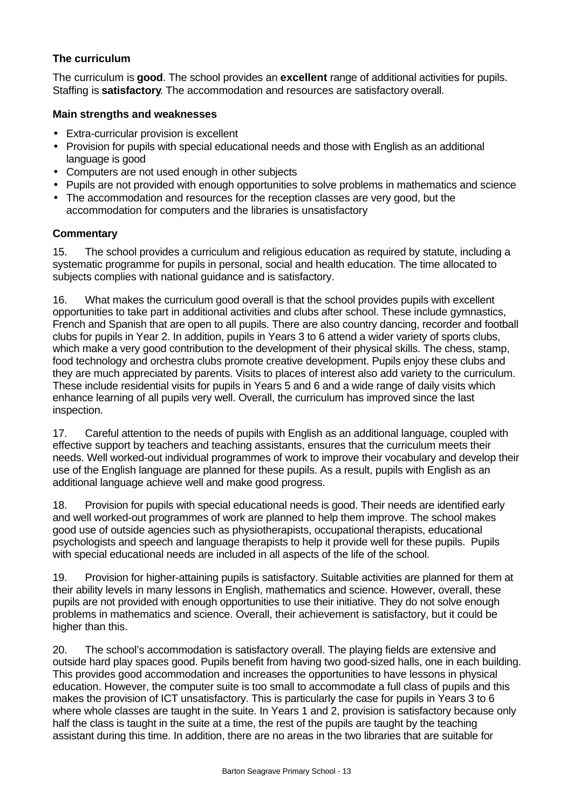# **The curriculum**

The curriculum is **good**. The school provides an **excellent** range of additional activities for pupils. Staffing is **satisfactory**. The accommodation and resources are satisfactory overall.

#### **Main strengths and weaknesses**

- Extra-curricular provision is excellent
- Provision for pupils with special educational needs and those with English as an additional language is good
- Computers are not used enough in other subjects
- Pupils are not provided with enough opportunities to solve problems in mathematics and science
- The accommodation and resources for the reception classes are very good, but the accommodation for computers and the libraries is unsatisfactory

#### **Commentary**

15. The school provides a curriculum and religious education as required by statute, including a systematic programme for pupils in personal, social and health education. The time allocated to subjects complies with national guidance and is satisfactory.

16. What makes the curriculum good overall is that the school provides pupils with excellent opportunities to take part in additional activities and clubs after school. These include gymnastics, French and Spanish that are open to all pupils. There are also country dancing, recorder and football clubs for pupils in Year 2. In addition, pupils in Years 3 to 6 attend a wider variety of sports clubs, which make a very good contribution to the development of their physical skills. The chess, stamp, food technology and orchestra clubs promote creative development. Pupils enjoy these clubs and they are much appreciated by parents. Visits to places of interest also add variety to the curriculum. These include residential visits for pupils in Years 5 and 6 and a wide range of daily visits which enhance learning of all pupils very well. Overall, the curriculum has improved since the last inspection.

17. Careful attention to the needs of pupils with English as an additional language, coupled with effective support by teachers and teaching assistants, ensures that the curriculum meets their needs. Well worked-out individual programmes of work to improve their vocabulary and develop their use of the English language are planned for these pupils. As a result, pupils with English as an additional language achieve well and make good progress.

18. Provision for pupils with special educational needs is good. Their needs are identified early and well worked-out programmes of work are planned to help them improve. The school makes good use of outside agencies such as physiotherapists, occupational therapists, educational psychologists and speech and language therapists to help it provide well for these pupils. Pupils with special educational needs are included in all aspects of the life of the school.

19. Provision for higher-attaining pupils is satisfactory. Suitable activities are planned for them at their ability levels in many lessons in English, mathematics and science. However, overall, these pupils are not provided with enough opportunities to use their initiative. They do not solve enough problems in mathematics and science. Overall, their achievement is satisfactory, but it could be higher than this.

20. The school's accommodation is satisfactory overall. The playing fields are extensive and outside hard play spaces good. Pupils benefit from having two good-sized halls, one in each building. This provides good accommodation and increases the opportunities to have lessons in physical education. However, the computer suite is too small to accommodate a full class of pupils and this makes the provision of ICT unsatisfactory. This is particularly the case for pupils in Years 3 to 6 where whole classes are taught in the suite. In Years 1 and 2, provision is satisfactory because only half the class is taught in the suite at a time, the rest of the pupils are taught by the teaching assistant during this time. In addition, there are no areas in the two libraries that are suitable for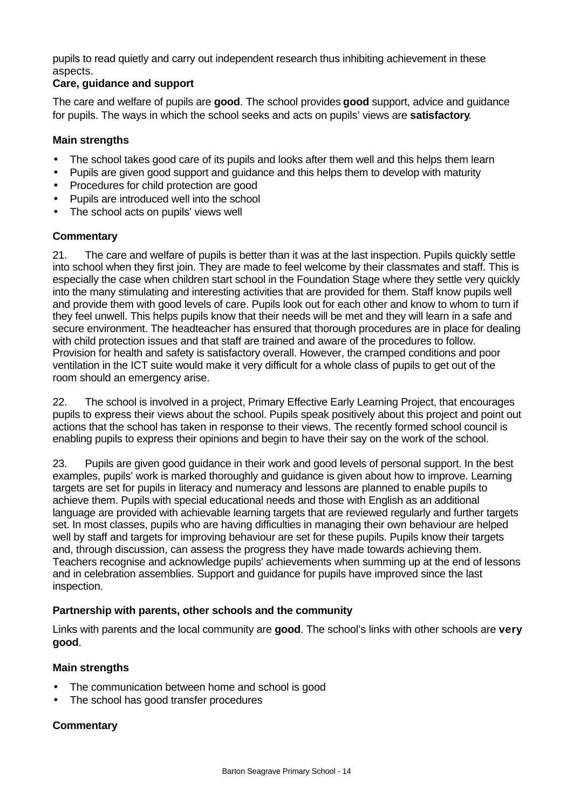pupils to read quietly and carry out independent research thus inhibiting achievement in these aspects.

#### **Care, guidance and support**

The care and welfare of pupils are **good**. The school provides **good** support, advice and guidance for pupils. The ways in which the school seeks and acts on pupils' views are **satisfactory**.

### **Main strengths**

- The school takes good care of its pupils and looks after them well and this helps them learn
- Pupils are given good support and guidance and this helps them to develop with maturity
- Procedures for child protection are good
- Pupils are introduced well into the school
- The school acts on pupils' views well

### **Commentary**

21. The care and welfare of pupils is better than it was at the last inspection. Pupils quickly settle into school when they first join. They are made to feel welcome by their classmates and staff. This is especially the case when children start school in the Foundation Stage where they settle very quickly into the many stimulating and interesting activities that are provided for them. Staff know pupils well and provide them with good levels of care. Pupils look out for each other and know to whom to turn if they feel unwell. This helps pupils know that their needs will be met and they will learn in a safe and secure environment. The headteacher has ensured that thorough procedures are in place for dealing with child protection issues and that staff are trained and aware of the procedures to follow. Provision for health and safety is satisfactory overall. However, the cramped conditions and poor ventilation in the ICT suite would make it very difficult for a whole class of pupils to get out of the room should an emergency arise.

22. The school is involved in a project, Primary Effective Early Learning Project, that encourages pupils to express their views about the school. Pupils speak positively about this project and point out actions that the school has taken in response to their views. The recently formed school council is enabling pupils to express their opinions and begin to have their say on the work of the school.

23. Pupils are given good guidance in their work and good levels of personal support. In the best examples, pupils' work is marked thoroughly and guidance is given about how to improve. Learning targets are set for pupils in literacy and numeracy and lessons are planned to enable pupils to achieve them. Pupils with special educational needs and those with English as an additional language are provided with achievable learning targets that are reviewed regularly and further targets set. In most classes, pupils who are having difficulties in managing their own behaviour are helped well by staff and targets for improving behaviour are set for these pupils. Pupils know their targets and, through discussion, can assess the progress they have made towards achieving them. Teachers recognise and acknowledge pupils' achievements when summing up at the end of lessons and in celebration assemblies. Support and guidance for pupils have improved since the last inspection.

# **Partnership with parents, other schools and the community**

Links with parents and the local community are **good**. The school's links with other schools are **very good**.

# **Main strengths**

- The communication between home and school is good
- The school has good transfer procedures

# **Commentary**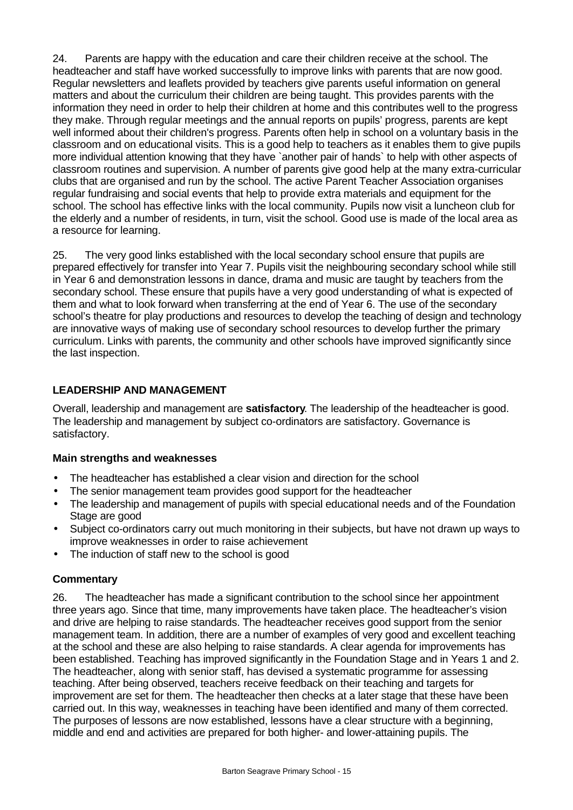24. Parents are happy with the education and care their children receive at the school. The headteacher and staff have worked successfully to improve links with parents that are now good. Regular newsletters and leaflets provided by teachers give parents useful information on general matters and about the curriculum their children are being taught. This provides parents with the information they need in order to help their children at home and this contributes well to the progress they make. Through regular meetings and the annual reports on pupils' progress, parents are kept well informed about their children's progress. Parents often help in school on a voluntary basis in the classroom and on educational visits. This is a good help to teachers as it enables them to give pupils more individual attention knowing that they have `another pair of hands` to help with other aspects of classroom routines and supervision. A number of parents give good help at the many extra-curricular clubs that are organised and run by the school. The active Parent Teacher Association organises regular fundraising and social events that help to provide extra materials and equipment for the school. The school has effective links with the local community. Pupils now visit a luncheon club for the elderly and a number of residents, in turn, visit the school. Good use is made of the local area as a resource for learning.

25. The very good links established with the local secondary school ensure that pupils are prepared effectively for transfer into Year 7. Pupils visit the neighbouring secondary school while still in Year 6 and demonstration lessons in dance, drama and music are taught by teachers from the secondary school. These ensure that pupils have a very good understanding of what is expected of them and what to look forward when transferring at the end of Year 6. The use of the secondary school's theatre for play productions and resources to develop the teaching of design and technology are innovative ways of making use of secondary school resources to develop further the primary curriculum. Links with parents, the community and other schools have improved significantly since the last inspection.

# **LEADERSHIP AND MANAGEMENT**

Overall, leadership and management are **satisfactory**. The leadership of the headteacher is good. The leadership and management by subject co-ordinators are satisfactory. Governance is satisfactory.

# **Main strengths and weaknesses**

- The headteacher has established a clear vision and direction for the school
- The senior management team provides good support for the headteacher
- The leadership and management of pupils with special educational needs and of the Foundation Stage are good
- Subject co-ordinators carry out much monitoring in their subjects, but have not drawn up ways to improve weaknesses in order to raise achievement
- The induction of staff new to the school is good

# **Commentary**

26. The headteacher has made a significant contribution to the school since her appointment three years ago. Since that time, many improvements have taken place. The headteacher's vision and drive are helping to raise standards. The headteacher receives good support from the senior management team. In addition, there are a number of examples of very good and excellent teaching at the school and these are also helping to raise standards. A clear agenda for improvements has been established. Teaching has improved significantly in the Foundation Stage and in Years 1 and 2. The headteacher, along with senior staff, has devised a systematic programme for assessing teaching. After being observed, teachers receive feedback on their teaching and targets for improvement are set for them. The headteacher then checks at a later stage that these have been carried out. In this way, weaknesses in teaching have been identified and many of them corrected. The purposes of lessons are now established, lessons have a clear structure with a beginning, middle and end and activities are prepared for both higher- and lower-attaining pupils. The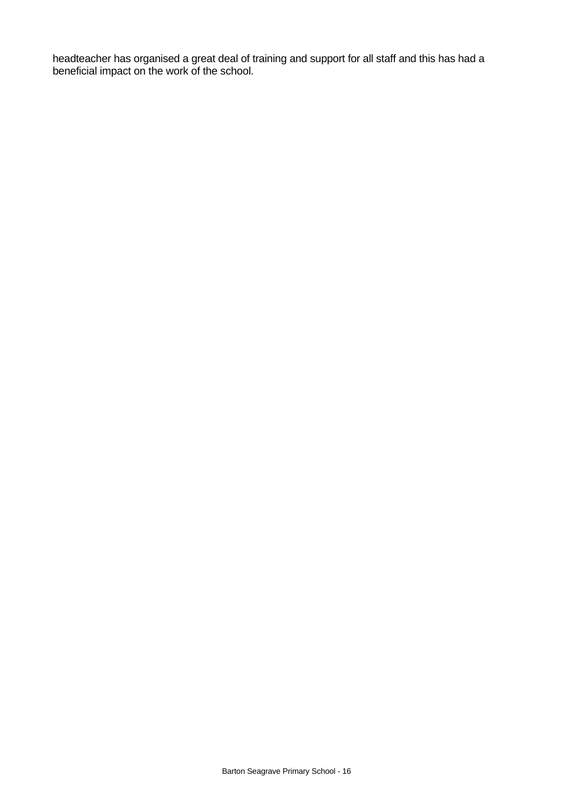headteacher has organised a great deal of training and support for all staff and this has had a beneficial impact on the work of the school.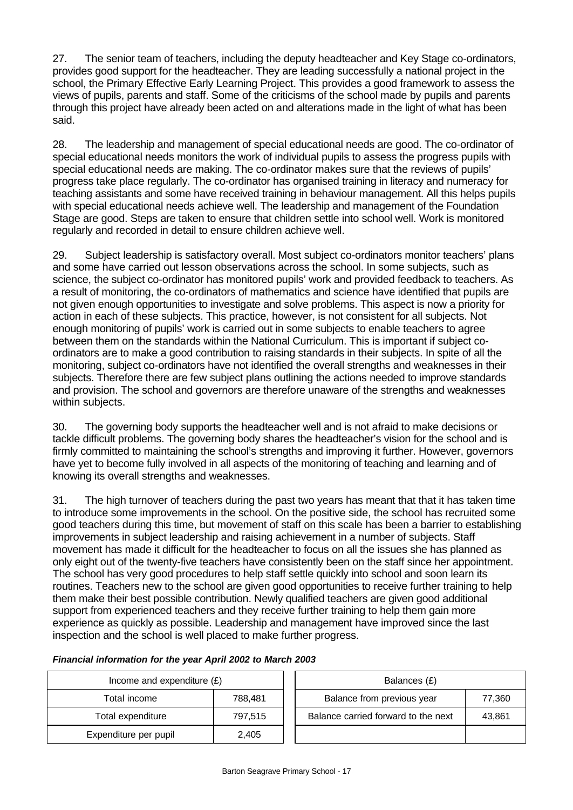27. The senior team of teachers, including the deputy headteacher and Key Stage co-ordinators, provides good support for the headteacher. They are leading successfully a national project in the school, the Primary Effective Early Learning Project. This provides a good framework to assess the views of pupils, parents and staff. Some of the criticisms of the school made by pupils and parents through this project have already been acted on and alterations made in the light of what has been said.

28. The leadership and management of special educational needs are good. The co-ordinator of special educational needs monitors the work of individual pupils to assess the progress pupils with special educational needs are making. The co-ordinator makes sure that the reviews of pupils' progress take place regularly. The co-ordinator has organised training in literacy and numeracy for teaching assistants and some have received training in behaviour management. All this helps pupils with special educational needs achieve well. The leadership and management of the Foundation Stage are good. Steps are taken to ensure that children settle into school well. Work is monitored regularly and recorded in detail to ensure children achieve well.

29. Subject leadership is satisfactory overall. Most subject co-ordinators monitor teachers' plans and some have carried out lesson observations across the school. In some subjects, such as science, the subject co-ordinator has monitored pupils' work and provided feedback to teachers. As a result of monitoring, the co-ordinators of mathematics and science have identified that pupils are not given enough opportunities to investigate and solve problems. This aspect is now a priority for action in each of these subjects. This practice, however, is not consistent for all subjects. Not enough monitoring of pupils' work is carried out in some subjects to enable teachers to agree between them on the standards within the National Curriculum. This is important if subject coordinators are to make a good contribution to raising standards in their subjects. In spite of all the monitoring, subject co-ordinators have not identified the overall strengths and weaknesses in their subjects. Therefore there are few subject plans outlining the actions needed to improve standards and provision. The school and governors are therefore unaware of the strengths and weaknesses within subjects.

30. The governing body supports the headteacher well and is not afraid to make decisions or tackle difficult problems. The governing body shares the headteacher's vision for the school and is firmly committed to maintaining the school's strengths and improving it further. However, governors have yet to become fully involved in all aspects of the monitoring of teaching and learning and of knowing its overall strengths and weaknesses.

31. The high turnover of teachers during the past two years has meant that that it has taken time to introduce some improvements in the school. On the positive side, the school has recruited some good teachers during this time, but movement of staff on this scale has been a barrier to establishing improvements in subject leadership and raising achievement in a number of subjects. Staff movement has made it difficult for the headteacher to focus on all the issues she has planned as only eight out of the twenty-five teachers have consistently been on the staff since her appointment. The school has very good procedures to help staff settle quickly into school and soon learn its routines. Teachers new to the school are given good opportunities to receive further training to help them make their best possible contribution. Newly qualified teachers are given good additional support from experienced teachers and they receive further training to help them gain more experience as quickly as possible. Leadership and management have improved since the last inspection and the school is well placed to make further progress.

| $\frac{1}{1}$ manifest model matrix for the year $\frac{1}{1}$ , $\frac{1}{1}$ and $\frac{1}{2}$ to manifest 2000 |  |
|-------------------------------------------------------------------------------------------------------------------|--|
| Income and expenditure $(f)$                                                                                      |  |

| Income and expenditure $(E)$ |         | Balances (£)                        |        |  |
|------------------------------|---------|-------------------------------------|--------|--|
| Total income                 | 788.481 | Balance from previous year          | 77,360 |  |
| Total expenditure            | 797.515 | Balance carried forward to the next | 43,861 |  |
| Expenditure per pupil        | 2,405   |                                     |        |  |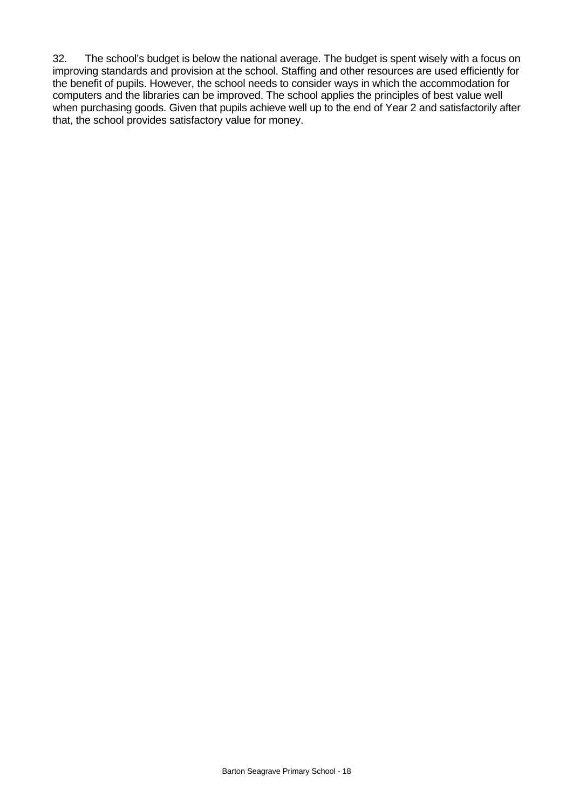32. The school's budget is below the national average. The budget is spent wisely with a focus on improving standards and provision at the school. Staffing and other resources are used efficiently for the benefit of pupils. However, the school needs to consider ways in which the accommodation for computers and the libraries can be improved. The school applies the principles of best value well when purchasing goods. Given that pupils achieve well up to the end of Year 2 and satisfactorily after that, the school provides satisfactory value for money.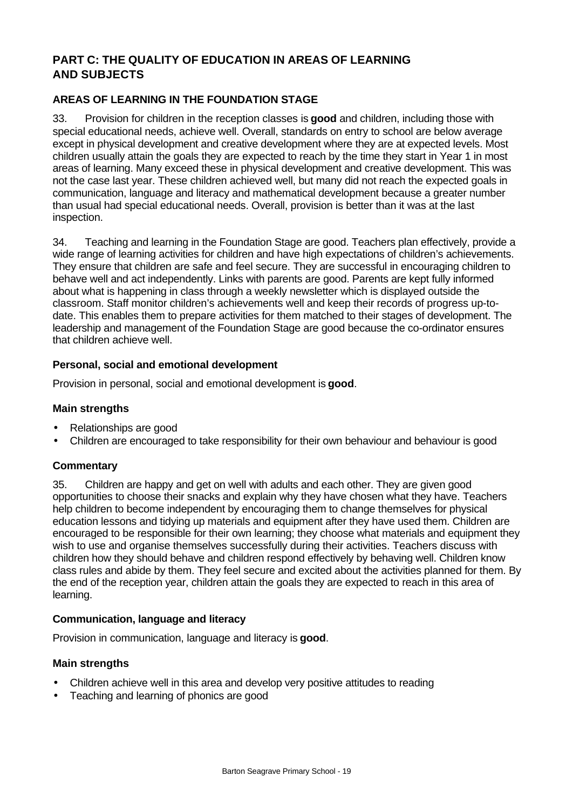# **PART C: THE QUALITY OF EDUCATION IN AREAS OF LEARNING AND SUBJECTS**

## **AREAS OF LEARNING IN THE FOUNDATION STAGE**

33. Provision for children in the reception classes is **good** and children, including those with special educational needs, achieve well. Overall, standards on entry to school are below average except in physical development and creative development where they are at expected levels. Most children usually attain the goals they are expected to reach by the time they start in Year 1 in most areas of learning. Many exceed these in physical development and creative development. This was not the case last year. These children achieved well, but many did not reach the expected goals in communication, language and literacy and mathematical development because a greater number than usual had special educational needs. Overall, provision is better than it was at the last inspection.

34. Teaching and learning in the Foundation Stage are good. Teachers plan effectively, provide a wide range of learning activities for children and have high expectations of children's achievements. They ensure that children are safe and feel secure. They are successful in encouraging children to behave well and act independently. Links with parents are good. Parents are kept fully informed about what is happening in class through a weekly newsletter which is displayed outside the classroom. Staff monitor children's achievements well and keep their records of progress up-todate. This enables them to prepare activities for them matched to their stages of development. The leadership and management of the Foundation Stage are good because the co-ordinator ensures that children achieve well.

#### **Personal, social and emotional development**

Provision in personal, social and emotional development is **good**.

#### **Main strengths**

- Relationships are good
- Children are encouraged to take responsibility for their own behaviour and behaviour is good

#### **Commentary**

35. Children are happy and get on well with adults and each other. They are given good opportunities to choose their snacks and explain why they have chosen what they have. Teachers help children to become independent by encouraging them to change themselves for physical education lessons and tidying up materials and equipment after they have used them. Children are encouraged to be responsible for their own learning; they choose what materials and equipment they wish to use and organise themselves successfully during their activities. Teachers discuss with children how they should behave and children respond effectively by behaving well. Children know class rules and abide by them. They feel secure and excited about the activities planned for them. By the end of the reception year, children attain the goals they are expected to reach in this area of learning.

#### **Communication, language and literacy**

Provision in communication, language and literacy is **good**.

#### **Main strengths**

- Children achieve well in this area and develop very positive attitudes to reading
- Teaching and learning of phonics are good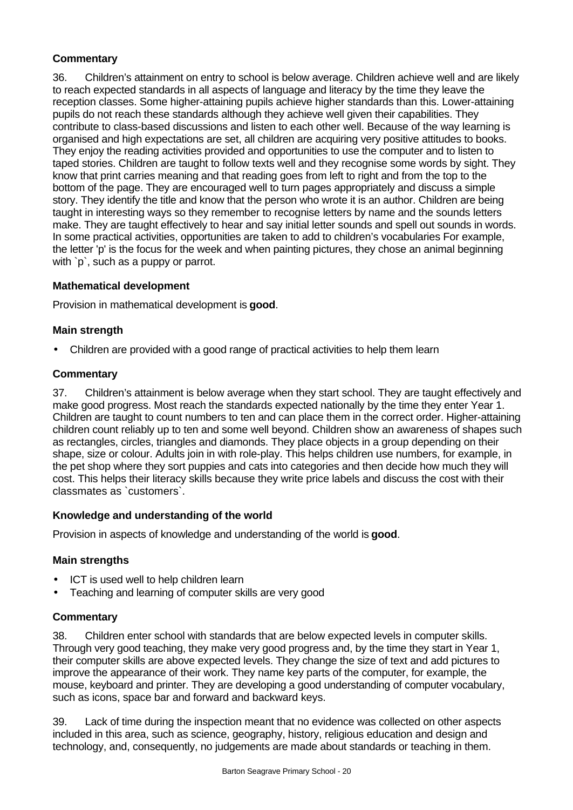# **Commentary**

36. Children's attainment on entry to school is below average. Children achieve well and are likely to reach expected standards in all aspects of language and literacy by the time they leave the reception classes. Some higher-attaining pupils achieve higher standards than this. Lower-attaining pupils do not reach these standards although they achieve well given their capabilities. They contribute to class-based discussions and listen to each other well. Because of the way learning is organised and high expectations are set, all children are acquiring very positive attitudes to books. They enjoy the reading activities provided and opportunities to use the computer and to listen to taped stories. Children are taught to follow texts well and they recognise some words by sight. They know that print carries meaning and that reading goes from left to right and from the top to the bottom of the page. They are encouraged well to turn pages appropriately and discuss a simple story. They identify the title and know that the person who wrote it is an author. Children are being taught in interesting ways so they remember to recognise letters by name and the sounds letters make. They are taught effectively to hear and say initial letter sounds and spell out sounds in words. In some practical activities, opportunities are taken to add to children's vocabularies For example, the letter 'p' is the focus for the week and when painting pictures, they chose an animal beginning with `p`, such as a puppy or parrot.

# **Mathematical development**

Provision in mathematical development is **good**.

# **Main strength**

• Children are provided with a good range of practical activities to help them learn

#### **Commentary**

37. Children's attainment is below average when they start school. They are taught effectively and make good progress. Most reach the standards expected nationally by the time they enter Year 1. Children are taught to count numbers to ten and can place them in the correct order. Higher-attaining children count reliably up to ten and some well beyond. Children show an awareness of shapes such as rectangles, circles, triangles and diamonds. They place objects in a group depending on their shape, size or colour. Adults join in with role-play. This helps children use numbers, for example, in the pet shop where they sort puppies and cats into categories and then decide how much they will cost. This helps their literacy skills because they write price labels and discuss the cost with their classmates as `customers`.

#### **Knowledge and understanding of the world**

Provision in aspects of knowledge and understanding of the world is **good**.

# **Main strengths**

- ICT is used well to help children learn
- Teaching and learning of computer skills are very good

#### **Commentary**

38. Children enter school with standards that are below expected levels in computer skills. Through very good teaching, they make very good progress and, by the time they start in Year 1, their computer skills are above expected levels. They change the size of text and add pictures to improve the appearance of their work. They name key parts of the computer, for example, the mouse, keyboard and printer. They are developing a good understanding of computer vocabulary, such as icons, space bar and forward and backward keys.

39. Lack of time during the inspection meant that no evidence was collected on other aspects included in this area, such as science, geography, history, religious education and design and technology, and, consequently, no judgements are made about standards or teaching in them.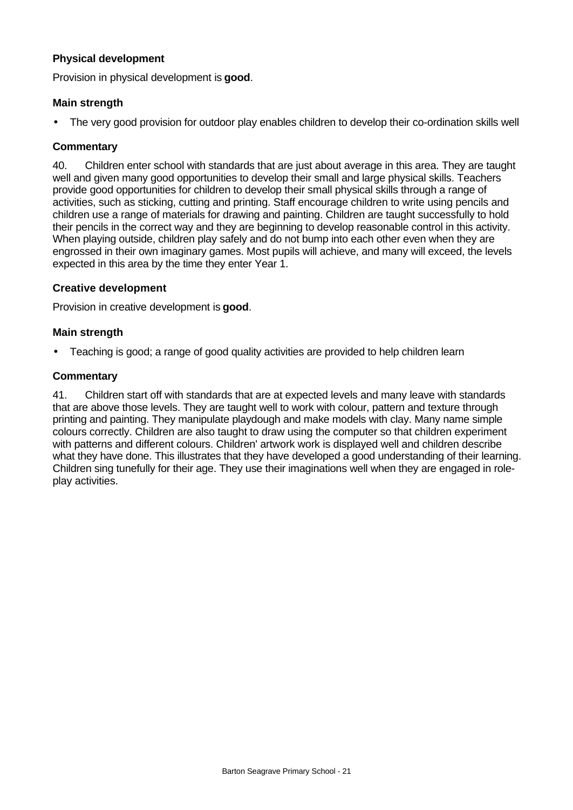#### **Physical development**

Provision in physical development is **good**.

## **Main strength**

• The very good provision for outdoor play enables children to develop their co-ordination skills well

## **Commentary**

40. Children enter school with standards that are just about average in this area. They are taught well and given many good opportunities to develop their small and large physical skills. Teachers provide good opportunities for children to develop their small physical skills through a range of activities, such as sticking, cutting and printing. Staff encourage children to write using pencils and children use a range of materials for drawing and painting. Children are taught successfully to hold their pencils in the correct way and they are beginning to develop reasonable control in this activity. When playing outside, children play safely and do not bump into each other even when they are engrossed in their own imaginary games. Most pupils will achieve, and many will exceed, the levels expected in this area by the time they enter Year 1.

### **Creative development**

Provision in creative development is **good**.

### **Main strength**

• Teaching is good; a range of good quality activities are provided to help children learn

#### **Commentary**

41. Children start off with standards that are at expected levels and many leave with standards that are above those levels. They are taught well to work with colour, pattern and texture through printing and painting. They manipulate playdough and make models with clay. Many name simple colours correctly. Children are also taught to draw using the computer so that children experiment with patterns and different colours. Children' artwork work is displayed well and children describe what they have done. This illustrates that they have developed a good understanding of their learning. Children sing tunefully for their age. They use their imaginations well when they are engaged in roleplay activities.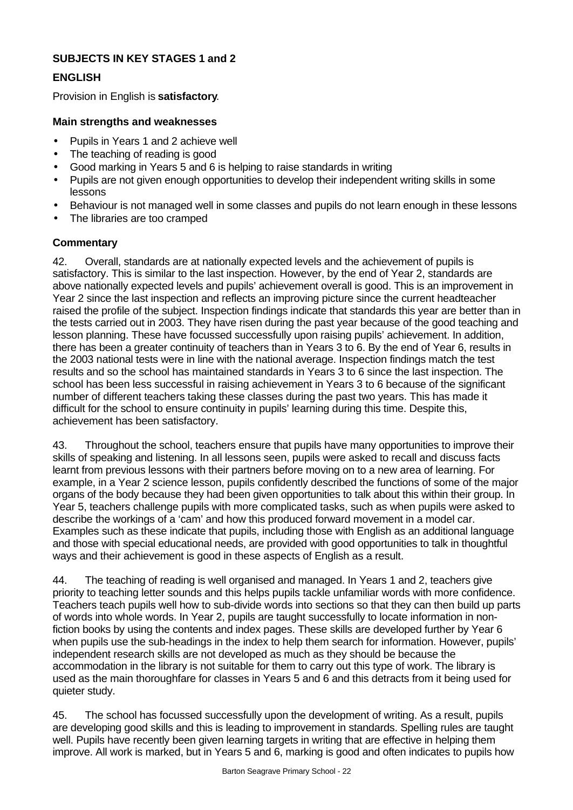# **SUBJECTS IN KEY STAGES 1 and 2**

## **ENGLISH**

Provision in English is **satisfactory**.

#### **Main strengths and weaknesses**

- Pupils in Years 1 and 2 achieve well
- The teaching of reading is good
- Good marking in Years 5 and 6 is helping to raise standards in writing
- Pupils are not given enough opportunities to develop their independent writing skills in some lessons
- Behaviour is not managed well in some classes and pupils do not learn enough in these lessons
- The libraries are too cramped

### **Commentary**

42. Overall, standards are at nationally expected levels and the achievement of pupils is satisfactory. This is similar to the last inspection. However, by the end of Year 2, standards are above nationally expected levels and pupils' achievement overall is good. This is an improvement in Year 2 since the last inspection and reflects an improving picture since the current headteacher raised the profile of the subject. Inspection findings indicate that standards this year are better than in the tests carried out in 2003. They have risen during the past year because of the good teaching and lesson planning. These have focussed successfully upon raising pupils' achievement. In addition, there has been a greater continuity of teachers than in Years 3 to 6. By the end of Year 6, results in the 2003 national tests were in line with the national average. Inspection findings match the test results and so the school has maintained standards in Years 3 to 6 since the last inspection. The school has been less successful in raising achievement in Years 3 to 6 because of the significant number of different teachers taking these classes during the past two years. This has made it difficult for the school to ensure continuity in pupils' learning during this time. Despite this, achievement has been satisfactory.

43. Throughout the school, teachers ensure that pupils have many opportunities to improve their skills of speaking and listening. In all lessons seen, pupils were asked to recall and discuss facts learnt from previous lessons with their partners before moving on to a new area of learning. For example, in a Year 2 science lesson, pupils confidently described the functions of some of the major organs of the body because they had been given opportunities to talk about this within their group. In Year 5, teachers challenge pupils with more complicated tasks, such as when pupils were asked to describe the workings of a 'cam' and how this produced forward movement in a model car. Examples such as these indicate that pupils, including those with English as an additional language and those with special educational needs, are provided with good opportunities to talk in thoughtful ways and their achievement is good in these aspects of English as a result.

44. The teaching of reading is well organised and managed. In Years 1 and 2, teachers give priority to teaching letter sounds and this helps pupils tackle unfamiliar words with more confidence. Teachers teach pupils well how to sub-divide words into sections so that they can then build up parts of words into whole words. In Year 2, pupils are taught successfully to locate information in nonfiction books by using the contents and index pages. These skills are developed further by Year 6 when pupils use the sub-headings in the index to help them search for information. However, pupils' independent research skills are not developed as much as they should be because the accommodation in the library is not suitable for them to carry out this type of work. The library is used as the main thoroughfare for classes in Years 5 and 6 and this detracts from it being used for quieter study.

45. The school has focussed successfully upon the development of writing. As a result, pupils are developing good skills and this is leading to improvement in standards. Spelling rules are taught well. Pupils have recently been given learning targets in writing that are effective in helping them improve. All work is marked, but in Years 5 and 6, marking is good and often indicates to pupils how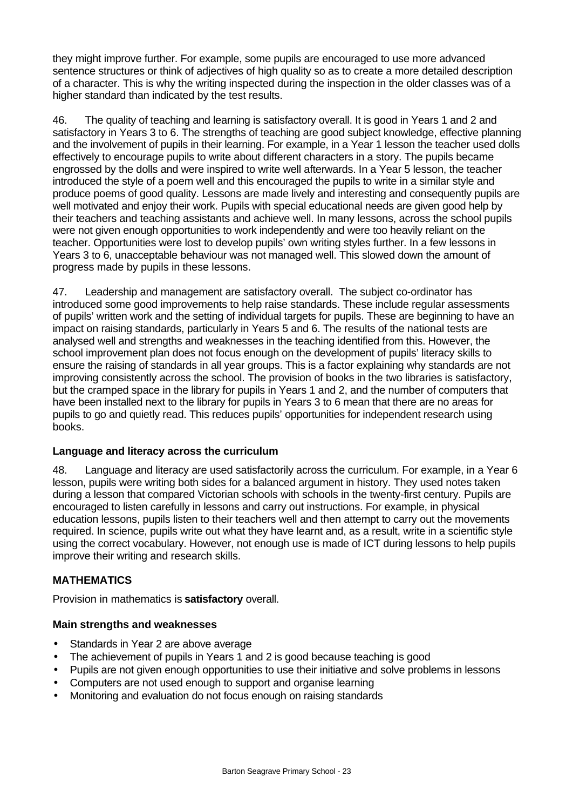they might improve further. For example, some pupils are encouraged to use more advanced sentence structures or think of adjectives of high quality so as to create a more detailed description of a character. This is why the writing inspected during the inspection in the older classes was of a higher standard than indicated by the test results.

46. The quality of teaching and learning is satisfactory overall. It is good in Years 1 and 2 and satisfactory in Years 3 to 6. The strengths of teaching are good subject knowledge, effective planning and the involvement of pupils in their learning. For example, in a Year 1 lesson the teacher used dolls effectively to encourage pupils to write about different characters in a story. The pupils became engrossed by the dolls and were inspired to write well afterwards. In a Year 5 lesson, the teacher introduced the style of a poem well and this encouraged the pupils to write in a similar style and produce poems of good quality. Lessons are made lively and interesting and consequently pupils are well motivated and enjoy their work. Pupils with special educational needs are given good help by their teachers and teaching assistants and achieve well. In many lessons, across the school pupils were not given enough opportunities to work independently and were too heavily reliant on the teacher. Opportunities were lost to develop pupils' own writing styles further. In a few lessons in Years 3 to 6, unacceptable behaviour was not managed well. This slowed down the amount of progress made by pupils in these lessons.

47. Leadership and management are satisfactory overall. The subject co-ordinator has introduced some good improvements to help raise standards. These include regular assessments of pupils' written work and the setting of individual targets for pupils. These are beginning to have an impact on raising standards, particularly in Years 5 and 6. The results of the national tests are analysed well and strengths and weaknesses in the teaching identified from this. However, the school improvement plan does not focus enough on the development of pupils' literacy skills to ensure the raising of standards in all year groups. This is a factor explaining why standards are not improving consistently across the school. The provision of books in the two libraries is satisfactory, but the cramped space in the library for pupils in Years 1 and 2, and the number of computers that have been installed next to the library for pupils in Years 3 to 6 mean that there are no areas for pupils to go and quietly read. This reduces pupils' opportunities for independent research using books.

#### **Language and literacy across the curriculum**

48. Language and literacy are used satisfactorily across the curriculum. For example, in a Year 6 lesson, pupils were writing both sides for a balanced argument in history. They used notes taken during a lesson that compared Victorian schools with schools in the twenty-first century. Pupils are encouraged to listen carefully in lessons and carry out instructions. For example, in physical education lessons, pupils listen to their teachers well and then attempt to carry out the movements required. In science, pupils write out what they have learnt and, as a result, write in a scientific style using the correct vocabulary. However, not enough use is made of ICT during lessons to help pupils improve their writing and research skills.

# **MATHEMATICS**

Provision in mathematics is **satisfactory** overall.

# **Main strengths and weaknesses**

- Standards in Year 2 are above average
- The achievement of pupils in Years 1 and 2 is good because teaching is good
- Pupils are not given enough opportunities to use their initiative and solve problems in lessons
- Computers are not used enough to support and organise learning
- Monitoring and evaluation do not focus enough on raising standards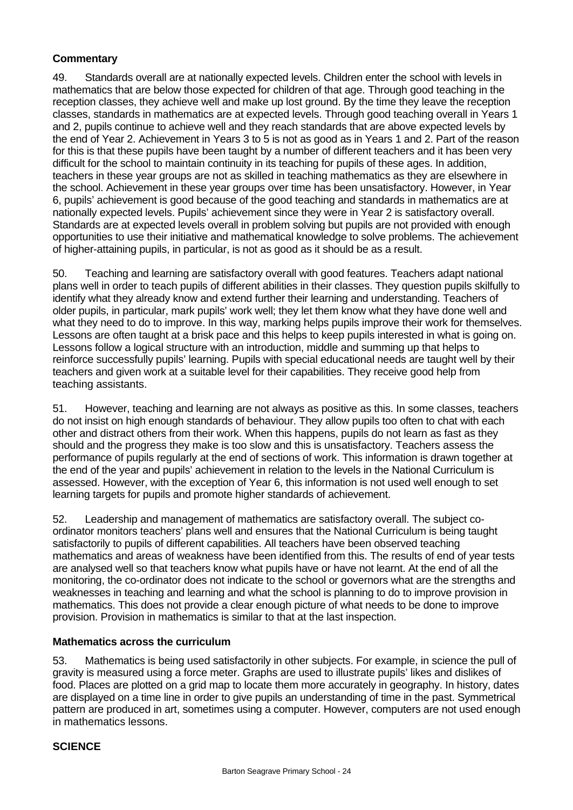# **Commentary**

49. Standards overall are at nationally expected levels. Children enter the school with levels in mathematics that are below those expected for children of that age. Through good teaching in the reception classes, they achieve well and make up lost ground. By the time they leave the reception classes, standards in mathematics are at expected levels. Through good teaching overall in Years 1 and 2, pupils continue to achieve well and they reach standards that are above expected levels by the end of Year 2. Achievement in Years 3 to 5 is not as good as in Years 1 and 2. Part of the reason for this is that these pupils have been taught by a number of different teachers and it has been very difficult for the school to maintain continuity in its teaching for pupils of these ages. In addition, teachers in these year groups are not as skilled in teaching mathematics as they are elsewhere in the school. Achievement in these year groups over time has been unsatisfactory. However, in Year 6, pupils' achievement is good because of the good teaching and standards in mathematics are at nationally expected levels. Pupils' achievement since they were in Year 2 is satisfactory overall. Standards are at expected levels overall in problem solving but pupils are not provided with enough opportunities to use their initiative and mathematical knowledge to solve problems. The achievement of higher-attaining pupils, in particular, is not as good as it should be as a result.

50. Teaching and learning are satisfactory overall with good features. Teachers adapt national plans well in order to teach pupils of different abilities in their classes. They question pupils skilfully to identify what they already know and extend further their learning and understanding. Teachers of older pupils, in particular, mark pupils' work well; they let them know what they have done well and what they need to do to improve. In this way, marking helps pupils improve their work for themselves. Lessons are often taught at a brisk pace and this helps to keep pupils interested in what is going on. Lessons follow a logical structure with an introduction, middle and summing up that helps to reinforce successfully pupils' learning. Pupils with special educational needs are taught well by their teachers and given work at a suitable level for their capabilities. They receive good help from teaching assistants.

51. However, teaching and learning are not always as positive as this. In some classes, teachers do not insist on high enough standards of behaviour. They allow pupils too often to chat with each other and distract others from their work. When this happens, pupils do not learn as fast as they should and the progress they make is too slow and this is unsatisfactory. Teachers assess the performance of pupils regularly at the end of sections of work. This information is drawn together at the end of the year and pupils' achievement in relation to the levels in the National Curriculum is assessed. However, with the exception of Year 6, this information is not used well enough to set learning targets for pupils and promote higher standards of achievement.

52. Leadership and management of mathematics are satisfactory overall. The subject coordinator monitors teachers' plans well and ensures that the National Curriculum is being taught satisfactorily to pupils of different capabilities. All teachers have been observed teaching mathematics and areas of weakness have been identified from this. The results of end of year tests are analysed well so that teachers know what pupils have or have not learnt. At the end of all the monitoring, the co-ordinator does not indicate to the school or governors what are the strengths and weaknesses in teaching and learning and what the school is planning to do to improve provision in mathematics. This does not provide a clear enough picture of what needs to be done to improve provision. Provision in mathematics is similar to that at the last inspection.

# **Mathematics across the curriculum**

53. Mathematics is being used satisfactorily in other subjects. For example, in science the pull of gravity is measured using a force meter. Graphs are used to illustrate pupils' likes and dislikes of food. Places are plotted on a grid map to locate them more accurately in geography. In history, dates are displayed on a time line in order to give pupils an understanding of time in the past. Symmetrical pattern are produced in art, sometimes using a computer. However, computers are not used enough in mathematics lessons.

#### **SCIENCE**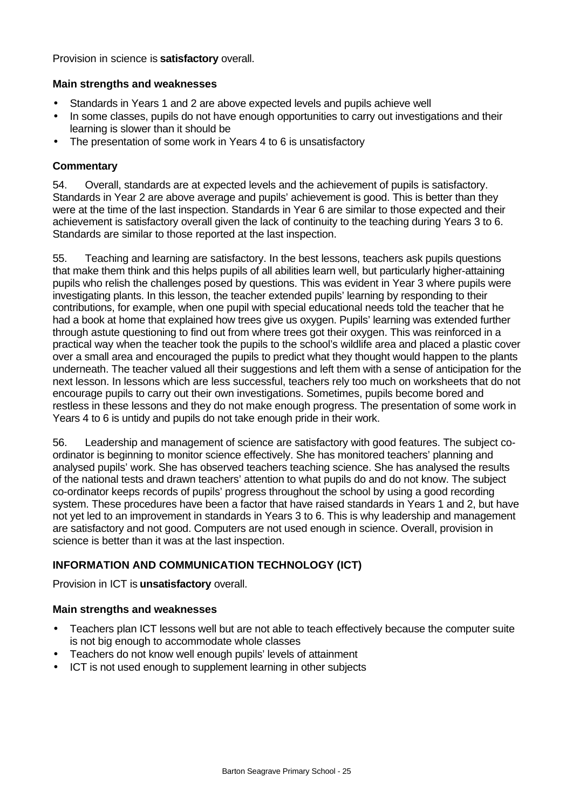Provision in science is **satisfactory** overall.

#### **Main strengths and weaknesses**

- Standards in Years 1 and 2 are above expected levels and pupils achieve well
- In some classes, pupils do not have enough opportunities to carry out investigations and their learning is slower than it should be
- The presentation of some work in Years 4 to 6 is unsatisfactory

#### **Commentary**

54. Overall, standards are at expected levels and the achievement of pupils is satisfactory. Standards in Year 2 are above average and pupils' achievement is good. This is better than they were at the time of the last inspection. Standards in Year 6 are similar to those expected and their achievement is satisfactory overall given the lack of continuity to the teaching during Years 3 to 6. Standards are similar to those reported at the last inspection.

55. Teaching and learning are satisfactory. In the best lessons, teachers ask pupils questions that make them think and this helps pupils of all abilities learn well, but particularly higher-attaining pupils who relish the challenges posed by questions. This was evident in Year 3 where pupils were investigating plants. In this lesson, the teacher extended pupils' learning by responding to their contributions, for example, when one pupil with special educational needs told the teacher that he had a book at home that explained how trees give us oxygen. Pupils' learning was extended further through astute questioning to find out from where trees got their oxygen. This was reinforced in a practical way when the teacher took the pupils to the school's wildlife area and placed a plastic cover over a small area and encouraged the pupils to predict what they thought would happen to the plants underneath. The teacher valued all their suggestions and left them with a sense of anticipation for the next lesson. In lessons which are less successful, teachers rely too much on worksheets that do not encourage pupils to carry out their own investigations. Sometimes, pupils become bored and restless in these lessons and they do not make enough progress. The presentation of some work in Years 4 to 6 is untidy and pupils do not take enough pride in their work.

56. Leadership and management of science are satisfactory with good features. The subject coordinator is beginning to monitor science effectively. She has monitored teachers' planning and analysed pupils' work. She has observed teachers teaching science. She has analysed the results of the national tests and drawn teachers' attention to what pupils do and do not know. The subject co-ordinator keeps records of pupils' progress throughout the school by using a good recording system. These procedures have been a factor that have raised standards in Years 1 and 2, but have not yet led to an improvement in standards in Years 3 to 6. This is why leadership and management are satisfactory and not good. Computers are not used enough in science. Overall, provision in science is better than it was at the last inspection.

# **INFORMATION AND COMMUNICATION TECHNOLOGY (ICT)**

Provision in ICT is **unsatisfactory** overall.

#### **Main strengths and weaknesses**

- Teachers plan ICT lessons well but are not able to teach effectively because the computer suite is not big enough to accommodate whole classes
- Teachers do not know well enough pupils' levels of attainment
- ICT is not used enough to supplement learning in other subjects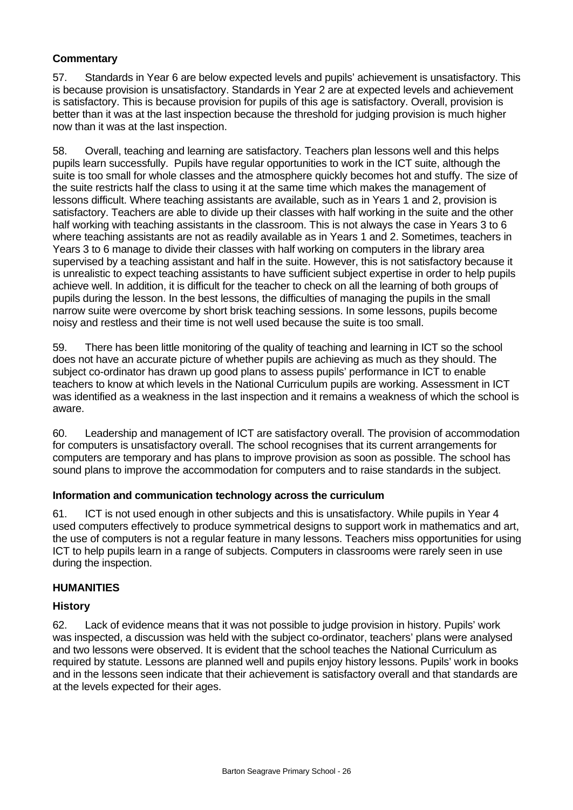# **Commentary**

57. Standards in Year 6 are below expected levels and pupils' achievement is unsatisfactory. This is because provision is unsatisfactory. Standards in Year 2 are at expected levels and achievement is satisfactory. This is because provision for pupils of this age is satisfactory. Overall, provision is better than it was at the last inspection because the threshold for judging provision is much higher now than it was at the last inspection.

58. Overall, teaching and learning are satisfactory. Teachers plan lessons well and this helps pupils learn successfully. Pupils have regular opportunities to work in the ICT suite, although the suite is too small for whole classes and the atmosphere quickly becomes hot and stuffy. The size of the suite restricts half the class to using it at the same time which makes the management of lessons difficult. Where teaching assistants are available, such as in Years 1 and 2, provision is satisfactory. Teachers are able to divide up their classes with half working in the suite and the other half working with teaching assistants in the classroom. This is not always the case in Years 3 to 6 where teaching assistants are not as readily available as in Years 1 and 2. Sometimes, teachers in Years 3 to 6 manage to divide their classes with half working on computers in the library area supervised by a teaching assistant and half in the suite. However, this is not satisfactory because it is unrealistic to expect teaching assistants to have sufficient subject expertise in order to help pupils achieve well. In addition, it is difficult for the teacher to check on all the learning of both groups of pupils during the lesson. In the best lessons, the difficulties of managing the pupils in the small narrow suite were overcome by short brisk teaching sessions. In some lessons, pupils become noisy and restless and their time is not well used because the suite is too small.

59. There has been little monitoring of the quality of teaching and learning in ICT so the school does not have an accurate picture of whether pupils are achieving as much as they should. The subject co-ordinator has drawn up good plans to assess pupils' performance in ICT to enable teachers to know at which levels in the National Curriculum pupils are working. Assessment in ICT was identified as a weakness in the last inspection and it remains a weakness of which the school is aware.

60. Leadership and management of ICT are satisfactory overall. The provision of accommodation for computers is unsatisfactory overall. The school recognises that its current arrangements for computers are temporary and has plans to improve provision as soon as possible. The school has sound plans to improve the accommodation for computers and to raise standards in the subject.

#### **Information and communication technology across the curriculum**

61. ICT is not used enough in other subjects and this is unsatisfactory. While pupils in Year 4 used computers effectively to produce symmetrical designs to support work in mathematics and art, the use of computers is not a regular feature in many lessons. Teachers miss opportunities for using ICT to help pupils learn in a range of subjects. Computers in classrooms were rarely seen in use during the inspection.

#### **HUMANITIES**

#### **History**

62. Lack of evidence means that it was not possible to judge provision in history. Pupils' work was inspected, a discussion was held with the subject co-ordinator, teachers' plans were analysed and two lessons were observed. It is evident that the school teaches the National Curriculum as required by statute. Lessons are planned well and pupils enjoy history lessons. Pupils' work in books and in the lessons seen indicate that their achievement is satisfactory overall and that standards are at the levels expected for their ages.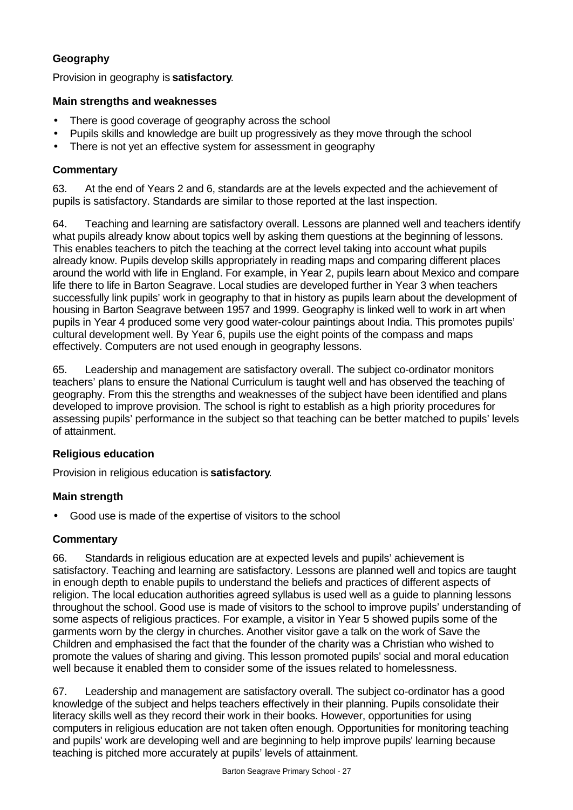# **Geography**

Provision in geography is **satisfactory**.

### **Main strengths and weaknesses**

- There is good coverage of geography across the school
- Pupils skills and knowledge are built up progressively as they move through the school
- There is not yet an effective system for assessment in geography

#### **Commentary**

63. At the end of Years 2 and 6, standards are at the levels expected and the achievement of pupils is satisfactory. Standards are similar to those reported at the last inspection.

64. Teaching and learning are satisfactory overall. Lessons are planned well and teachers identify what pupils already know about topics well by asking them questions at the beginning of lessons. This enables teachers to pitch the teaching at the correct level taking into account what pupils already know. Pupils develop skills appropriately in reading maps and comparing different places around the world with life in England. For example, in Year 2, pupils learn about Mexico and compare life there to life in Barton Seagrave. Local studies are developed further in Year 3 when teachers successfully link pupils' work in geography to that in history as pupils learn about the development of housing in Barton Seagrave between 1957 and 1999. Geography is linked well to work in art when pupils in Year 4 produced some very good water-colour paintings about India. This promotes pupils' cultural development well. By Year 6, pupils use the eight points of the compass and maps effectively. Computers are not used enough in geography lessons.

65. Leadership and management are satisfactory overall. The subject co-ordinator monitors teachers' plans to ensure the National Curriculum is taught well and has observed the teaching of geography. From this the strengths and weaknesses of the subject have been identified and plans developed to improve provision. The school is right to establish as a high priority procedures for assessing pupils' performance in the subject so that teaching can be better matched to pupils' levels of attainment.

# **Religious education**

Provision in religious education is **satisfactory**.

# **Main strength**

Good use is made of the expertise of visitors to the school

# **Commentary**

66. Standards in religious education are at expected levels and pupils' achievement is satisfactory. Teaching and learning are satisfactory. Lessons are planned well and topics are taught in enough depth to enable pupils to understand the beliefs and practices of different aspects of religion. The local education authorities agreed syllabus is used well as a guide to planning lessons throughout the school. Good use is made of visitors to the school to improve pupils' understanding of some aspects of religious practices. For example, a visitor in Year 5 showed pupils some of the garments worn by the clergy in churches. Another visitor gave a talk on the work of Save the Children and emphasised the fact that the founder of the charity was a Christian who wished to promote the values of sharing and giving. This lesson promoted pupils' social and moral education well because it enabled them to consider some of the issues related to homelessness.

67. Leadership and management are satisfactory overall. The subject co-ordinator has a good knowledge of the subject and helps teachers effectively in their planning. Pupils consolidate their literacy skills well as they record their work in their books. However, opportunities for using computers in religious education are not taken often enough. Opportunities for monitoring teaching and pupils' work are developing well and are beginning to help improve pupils' learning because teaching is pitched more accurately at pupils' levels of attainment.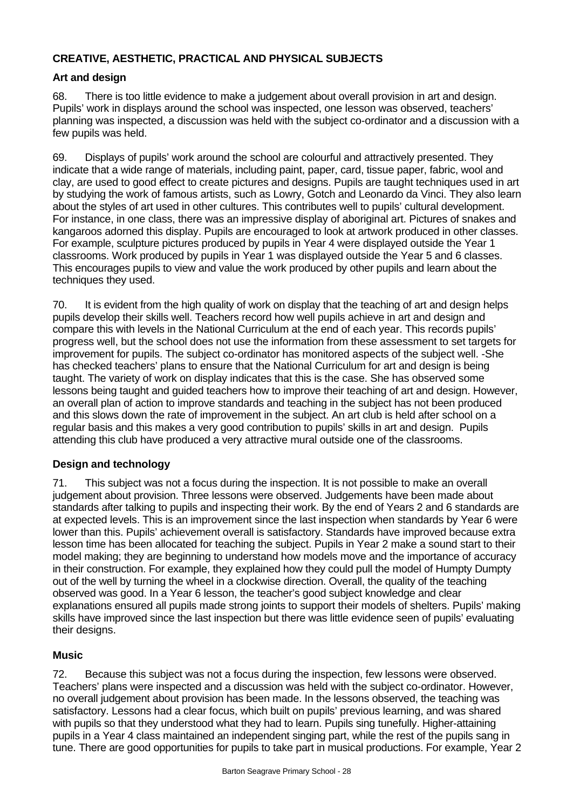# **CREATIVE, AESTHETIC, PRACTICAL AND PHYSICAL SUBJECTS**

# **Art and design**

68. There is too little evidence to make a judgement about overall provision in art and design. Pupils' work in displays around the school was inspected, one lesson was observed, teachers' planning was inspected, a discussion was held with the subject co-ordinator and a discussion with a few pupils was held.

69. Displays of pupils' work around the school are colourful and attractively presented. They indicate that a wide range of materials, including paint, paper, card, tissue paper, fabric, wool and clay, are used to good effect to create pictures and designs. Pupils are taught techniques used in art by studying the work of famous artists, such as Lowry, Gotch and Leonardo da Vinci. They also learn about the styles of art used in other cultures. This contributes well to pupils' cultural development. For instance, in one class, there was an impressive display of aboriginal art. Pictures of snakes and kangaroos adorned this display. Pupils are encouraged to look at artwork produced in other classes. For example, sculpture pictures produced by pupils in Year 4 were displayed outside the Year 1 classrooms. Work produced by pupils in Year 1 was displayed outside the Year 5 and 6 classes. This encourages pupils to view and value the work produced by other pupils and learn about the techniques they used.

70. It is evident from the high quality of work on display that the teaching of art and design helps pupils develop their skills well. Teachers record how well pupils achieve in art and design and compare this with levels in the National Curriculum at the end of each year. This records pupils' progress well, but the school does not use the information from these assessment to set targets for improvement for pupils. The subject co-ordinator has monitored aspects of the subject well. -She has checked teachers' plans to ensure that the National Curriculum for art and design is being taught. The variety of work on display indicates that this is the case. She has observed some lessons being taught and guided teachers how to improve their teaching of art and design. However, an overall plan of action to improve standards and teaching in the subject has not been produced and this slows down the rate of improvement in the subject. An art club is held after school on a regular basis and this makes a very good contribution to pupils' skills in art and design. Pupils attending this club have produced a very attractive mural outside one of the classrooms.

# **Design and technology**

71. This subject was not a focus during the inspection. It is not possible to make an overall judgement about provision. Three lessons were observed. Judgements have been made about standards after talking to pupils and inspecting their work. By the end of Years 2 and 6 standards are at expected levels. This is an improvement since the last inspection when standards by Year 6 were lower than this. Pupils' achievement overall is satisfactory. Standards have improved because extra lesson time has been allocated for teaching the subject. Pupils in Year 2 make a sound start to their model making; they are beginning to understand how models move and the importance of accuracy in their construction. For example, they explained how they could pull the model of Humpty Dumpty out of the well by turning the wheel in a clockwise direction. Overall, the quality of the teaching observed was good. In a Year 6 lesson, the teacher's good subject knowledge and clear explanations ensured all pupils made strong joints to support their models of shelters. Pupils' making skills have improved since the last inspection but there was little evidence seen of pupils' evaluating their designs.

#### **Music**

72. Because this subject was not a focus during the inspection, few lessons were observed. Teachers' plans were inspected and a discussion was held with the subject co-ordinator. However, no overall judgement about provision has been made. In the lessons observed, the teaching was satisfactory. Lessons had a clear focus, which built on pupils' previous learning, and was shared with pupils so that they understood what they had to learn. Pupils sing tunefully. Higher-attaining pupils in a Year 4 class maintained an independent singing part, while the rest of the pupils sang in tune. There are good opportunities for pupils to take part in musical productions. For example, Year 2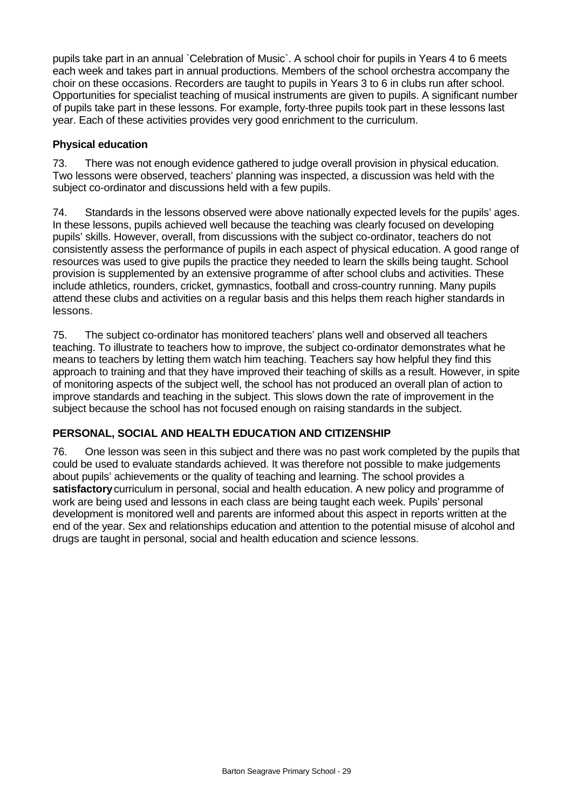pupils take part in an annual `Celebration of Music`. A school choir for pupils in Years 4 to 6 meets each week and takes part in annual productions. Members of the school orchestra accompany the choir on these occasions. Recorders are taught to pupils in Years 3 to 6 in clubs run after school. Opportunities for specialist teaching of musical instruments are given to pupils. A significant number of pupils take part in these lessons. For example, forty-three pupils took part in these lessons last year. Each of these activities provides very good enrichment to the curriculum.

### **Physical education**

73. There was not enough evidence gathered to judge overall provision in physical education. Two lessons were observed, teachers' planning was inspected, a discussion was held with the subject co-ordinator and discussions held with a few pupils.

74. Standards in the lessons observed were above nationally expected levels for the pupils' ages. In these lessons, pupils achieved well because the teaching was clearly focused on developing pupils' skills. However, overall, from discussions with the subject co-ordinator, teachers do not consistently assess the performance of pupils in each aspect of physical education. A good range of resources was used to give pupils the practice they needed to learn the skills being taught. School provision is supplemented by an extensive programme of after school clubs and activities. These include athletics, rounders, cricket, gymnastics, football and cross-country running. Many pupils attend these clubs and activities on a regular basis and this helps them reach higher standards in lessons.

75. The subject co-ordinator has monitored teachers' plans well and observed all teachers teaching. To illustrate to teachers how to improve, the subject co-ordinator demonstrates what he means to teachers by letting them watch him teaching. Teachers say how helpful they find this approach to training and that they have improved their teaching of skills as a result. However, in spite of monitoring aspects of the subject well, the school has not produced an overall plan of action to improve standards and teaching in the subject. This slows down the rate of improvement in the subject because the school has not focused enough on raising standards in the subject.

# **PERSONAL, SOCIAL AND HEALTH EDUCATION AND CITIZENSHIP**

76. One lesson was seen in this subject and there was no past work completed by the pupils that could be used to evaluate standards achieved. It was therefore not possible to make judgements about pupils' achievements or the quality of teaching and learning. The school provides a **satisfactory** curriculum in personal, social and health education. A new policy and programme of work are being used and lessons in each class are being taught each week. Pupils' personal development is monitored well and parents are informed about this aspect in reports written at the end of the year. Sex and relationships education and attention to the potential misuse of alcohol and drugs are taught in personal, social and health education and science lessons.